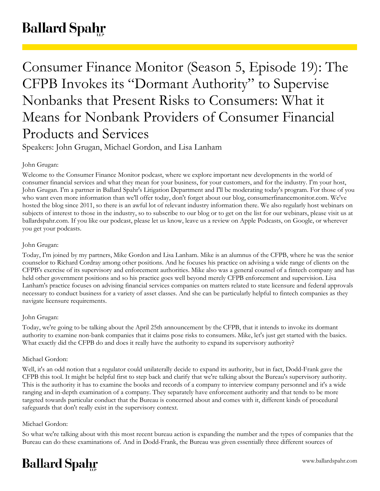# **Ballard Spahr**

# Consumer Finance Monitor (Season 5, Episode 19): The CFPB Invokes its "Dormant Authority" to Supervise Nonbanks that Present Risks to Consumers: What it Means for Nonbank Providers of Consumer Financial Products and Services

Speakers: John Grugan, Michael Gordon, and Lisa Lanham

# John Grugan:

Welcome to the Consumer Finance Monitor podcast, where we explore important new developments in the world of consumer financial services and what they mean for your business, for your customers, and for the industry. I'm your host, John Grugan. I'm a partner in Ballard Spahr's Litigation Department and I'll be moderating today's program. For those of you who want even more information than we'll offer today, don't forget about our blog, consumerfinancemonitor.com. We've hosted the blog since 2011, so there is an awful lot of relevant industry information there. We also regularly host webinars on subjects of interest to those in the industry, so to subscribe to our blog or to get on the list for our webinars, please visit us at ballardspahr.com. If you like our podcast, please let us know, leave us a review on Apple Podcasts, on Google, or wherever you get your podcasts.

# John Grugan:

Today, I'm joined by my partners, Mike Gordon and Lisa Lanham. Mike is an alumnus of the CFPB, where he was the senior counselor to Richard Cordray among other positions. And he focuses his practice on advising a wide range of clients on the CFPB's exercise of its supervisory and enforcement authorities. Mike also was a general counsel of a fintech company and has held other government positions and so his practice goes well beyond merely CFPB enforcement and supervision. Lisa Lanham's practice focuses on advising financial services companies on matters related to state licensure and federal approvals necessary to conduct business for a variety of asset classes. And she can be particularly helpful to fintech companies as they navigate licensure requirements.

# John Grugan:

Today, we're going to be talking about the April 25th announcement by the CFPB, that it intends to invoke its dormant authority to examine non-bank companies that it claims pose risks to consumers. Mike, let's just get started with the basics. What exactly did the CFPB do and does it really have the authority to expand its supervisory authority?

# Michael Gordon:

Well, it's an odd notion that a regulator could unilaterally decide to expand its authority, but in fact, Dodd-Frank gave the CFPB this tool. It might be helpful first to step back and clarify that we're talking about the Bureau's supervisory authority. This is the authority it has to examine the books and records of a company to interview company personnel and it's a wide ranging and in-depth examination of a company. They separately have enforcement authority and that tends to be more targeted towards particular conduct that the Bureau is concerned about and comes with it, different kinds of procedural safeguards that don't really exist in the supervisory context.

# Michael Gordon:

So what we're talking about with this most recent bureau action is expanding the number and the types of companies that the Bureau can do these examinations of. And in Dodd-Frank, the Bureau was given essentially three different sources of

# **Ballard Spahr**

www.ballardspahr.com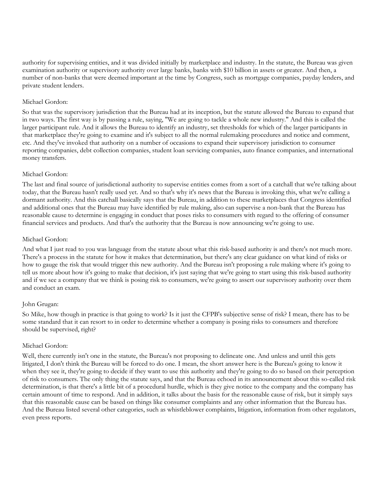authority for supervising entities, and it was divided initially by marketplace and industry. In the statute, the Bureau was given examination authority or supervisory authority over large banks, banks with \$10 billion in assets or greater. And then, a number of non-banks that were deemed important at the time by Congress, such as mortgage companies, payday lenders, and private student lenders.

# Michael Gordon:

So that was the supervisory jurisdiction that the Bureau had at its inception, but the statute allowed the Bureau to expand that in two ways. The first way is by passing a rule, saying, "We are going to tackle a whole new industry." And this is called the larger participant rule. And it allows the Bureau to identify an industry, set thresholds for which of the larger participants in that marketplace they're going to examine and it's subject to all the normal rulemaking procedures and notice and comment, etc. And they've invoked that authority on a number of occasions to expand their supervisory jurisdiction to consumer reporting companies, debt collection companies, student loan servicing companies, auto finance companies, and international money transfers.

# Michael Gordon:

The last and final source of jurisdictional authority to supervise entities comes from a sort of a catchall that we're talking about today, that the Bureau hasn't really used yet. And so that's why it's news that the Bureau is invoking this, what we're calling a dormant authority. And this catchall basically says that the Bureau, in addition to these marketplaces that Congress identified and additional ones that the Bureau may have identified by rule making, also can supervise a non-bank that the Bureau has reasonable cause to determine is engaging in conduct that poses risks to consumers with regard to the offering of consumer financial services and products. And that's the authority that the Bureau is now announcing we're going to use.

# Michael Gordon:

And what I just read to you was language from the statute about what this risk-based authority is and there's not much more. There's a process in the statute for how it makes that determination, but there's any clear guidance on what kind of risks or how to gauge the risk that would trigger this new authority. And the Bureau isn't proposing a rule making where it's going to tell us more about how it's going to make that decision, it's just saying that we're going to start using this risk-based authority and if we see a company that we think is posing risk to consumers, we're going to assert our supervisory authority over them and conduct an exam.

#### John Grugan:

So Mike, how though in practice is that going to work? Is it just the CFPB's subjective sense of risk? I mean, there has to be some standard that it can resort to in order to determine whether a company is posing risks to consumers and therefore should be supervised, right?

#### Michael Gordon:

Well, there currently isn't one in the statute, the Bureau's not proposing to delineate one. And unless and until this gets litigated, I don't think the Bureau will be forced to do one. I mean, the short answer here is the Bureau's going to know it when they see it, they're going to decide if they want to use this authority and they're going to do so based on their perception of risk to consumers. The only thing the statute says, and that the Bureau echoed in its announcement about this so-called risk determination, is that there's a little bit of a procedural hurdle, which is they give notice to the company and the company has certain amount of time to respond. And in addition, it talks about the basis for the reasonable cause of risk, but it simply says that this reasonable cause can be based on things like consumer complaints and any other information that the Bureau has. And the Bureau listed several other categories, such as whistleblower complaints, litigation, information from other regulators, even press reports.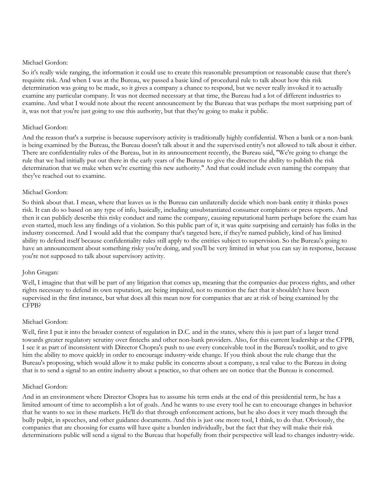#### Michael Gordon:

So it's really wide ranging, the information it could use to create this reasonable presumption or reasonable cause that there's requisite risk. And when I was at the Bureau, we passed a basic kind of procedural rule to talk about how this risk determination was going to be made, so it gives a company a chance to respond, but we never really invoked it to actually examine any particular company. It was not deemed necessary at that time, the Bureau had a lot of different industries to examine. And what I would note about the recent announcement by the Bureau that was perhaps the most surprising part of it, was not that you're just going to use this authority, but that they're going to make it public.

# Michael Gordon:

And the reason that's a surprise is because supervisory activity is traditionally highly confidential. When a bank or a non-bank is being examined by the Bureau, the Bureau doesn't talk about it and the supervised entity's not allowed to talk about it either. There are confidentiality rules of the Bureau, but in its announcement recently, the Bureau said, "We're going to change the rule that we had initially put out there in the early years of the Bureau to give the director the ability to publish the risk determination that we make when we're exerting this new authority." And that could include even naming the company that they've reached out to examine.

# Michael Gordon:

So think about that. I mean, where that leaves us is the Bureau can unilaterally decide which non-bank entity it thinks poses risk. It can do so based on any type of info, basically, including unsubstantiated consumer complaints or press reports. And then it can publicly describe this risky conduct and name the company, causing reputational harm perhaps before the exam has even started, much less any findings of a violation. So this public part of it, it was quite surprising and certainly has folks in the industry concerned. And I would add that the company that's targeted here, if they're named publicly, kind of has limited ability to defend itself because confidentiality rules still apply to the entities subject to supervision. So the Bureau's going to have an announcement about something risky you're doing, and you'll be very limited in what you can say in response, because you're not supposed to talk about supervisory activity.

#### John Grugan:

Well, I imagine that that will be part of any litigation that comes up, meaning that the companies due process rights, and other rights necessary to defend its own reputation, are being impaired, not to mention the fact that it shouldn't have been supervised in the first instance, but what does all this mean now for companies that are at risk of being examined by the CFPB?

# Michael Gordon:

Well, first I put it into the broader context of regulation in D.C. and in the states, where this is just part of a larger trend towards greater regulatory scrutiny over fintechs and other non-bank providers. Also, for this current leadership at the CFPB, I see it as part of inconsistent with Director Chopra's push to use every conceivable tool in the Bureau's toolkit, and to give him the ability to move quickly in order to encourage industry-wide change. If you think about the rule change that the Bureau's proposing, which would allow it to make public its concerns about a company, a real value to the Bureau in doing that is to send a signal to an entire industry about a practice, so that others are on notice that the Bureau is concerned.

#### Michael Gordon:

And in an environment where Director Chopra has to assume his term ends at the end of this presidential term, he has a limited amount of time to accomplish a lot of goals. And he wants to use every tool he can to encourage changes in behavior that he wants to see in these markets. He'll do that through enforcement actions, but he also does it very much through the bully pulpit, in speeches, and other guidance documents. And this is just one more tool, I think, to do that. Obviously, the companies that are choosing for exams will have quite a burden individually, but the fact that they will make their risk determinations public will send a signal to the Bureau that hopefully from their perspective will lead to changes industry-wide.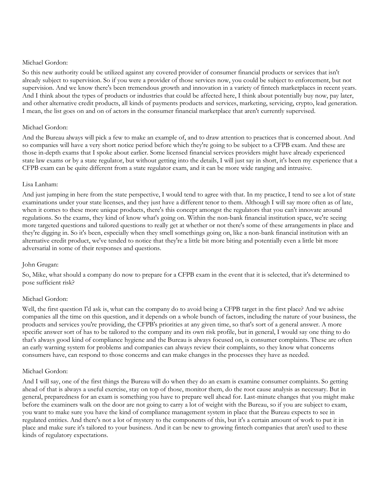# Michael Gordon:

So this new authority could be utilized against any covered provider of consumer financial products or services that isn't already subject to supervision. So if you were a provider of those services now, you could be subject to enforcement, but not supervision. And we know there's been tremendous growth and innovation in a variety of fintech marketplaces in recent years. And I think about the types of products or industries that could be affected here, I think about potentially buy now, pay later, and other alternative credit products, all kinds of payments products and services, marketing, servicing, crypto, lead generation. I mean, the list goes on and on of actors in the consumer financial marketplace that aren't currently supervised.

# Michael Gordon:

And the Bureau always will pick a few to make an example of, and to draw attention to practices that is concerned about. And so companies will have a very short notice period before which they're going to be subject to a CFPB exam. And these are those in-depth exams that I spoke about earlier. Some licensed financial services providers might have already experienced state law exams or by a state regulator, but without getting into the details, I will just say in short, it's been my experience that a CFPB exam can be quite different from a state regulator exam, and it can be more wide ranging and intrusive.

# Lisa Lanham:

And just jumping in here from the state perspective, I would tend to agree with that. In my practice, I tend to see a lot of state examinations under your state licenses, and they just have a different tenor to them. Although I will say more often as of late, when it comes to these more unique products, there's this concept amongst the regulators that you can't innovate around regulations. So the exams, they kind of know what's going on. Within the non-bank financial institution space, we're seeing more targeted questions and tailored questions to really get at whether or not there's some of these arrangements in place and they're digging in. So it's been, especially when they smell somethings going on, like a non-bank financial institution with an alternative credit product, we've tended to notice that they're a little bit more biting and potentially even a little bit more adversarial in some of their responses and questions.

# John Grugan:

So, Mike, what should a company do now to prepare for a CFPB exam in the event that it is selected, that it's determined to pose sufficient risk?

# Michael Gordon:

Well, the first question I'd ask is, what can the company do to avoid being a CFPB target in the first place? And we advise companies all the time on this question, and it depends on a whole bunch of factors, including the nature of your business, the products and services you're providing, the CFPB's priorities at any given time, so that's sort of a general answer. A more specific answer sort of has to be tailored to the company and its own risk profile, but in general, I would say one thing to do that's always good kind of compliance hygiene and the Bureau is always focused on, is consumer complaints. These are often an early warning system for problems and companies can always review their complaints, so they know what concerns consumers have, can respond to those concerns and can make changes in the processes they have as needed.

#### Michael Gordon:

And I will say, one of the first things the Bureau will do when they do an exam is examine consumer complaints. So getting ahead of that is always a useful exercise, stay on top of those, monitor them, do the root cause analysis as necessary. But in general, preparedness for an exam is something you have to prepare well ahead for. Last-minute changes that you might make before the examiners walk on the door are not going to carry a lot of weight with the Bureau, so if you are subject to exam, you want to make sure you have the kind of compliance management system in place that the Bureau expects to see in regulated entities. And there's not a lot of mystery to the components of this, but it's a certain amount of work to put it in place and make sure it's tailored to your business. And it can be new to growing fintech companies that aren't used to these kinds of regulatory expectations.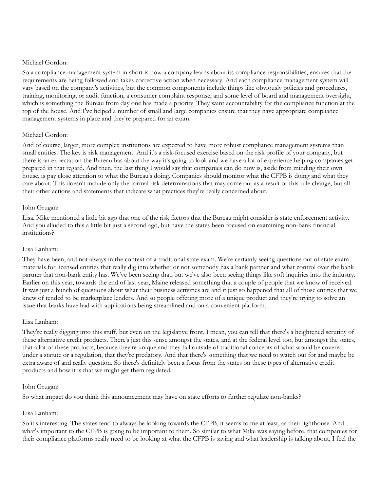# Michael Gordon:

So a compliance management system in short is how a company learns about its compliance responsibilities, ensures that the requirements are being followed and takes corrective action when necessary. And each compliance management system will vary based on the company's activities, but the common components include things like obviously policies and procedures, training, monitoring, or audit function, a consumer complaint response, and some level of board and management oversight, which is something the Bureau from day one has made a priority. They want accountability for the compliance function at the top of the house. And I've helped a number of small and large companies ensure that they have appropriate compliance management systems in place and they're prepared for an exam.

# Michael Gordon:

And of course, larger, more complex institutions are expected to have more robust compliance management systems than small entities. The key is risk management. And it's a risk-focused exercise based on the risk profile of your company, but there is an expectation the Bureau has about the way it's going to look and we have a lot of experience helping companies get prepared in that regard. And then, the last thing I would say that companies can do now is, aside from minding their own house, is pay close attention to what the Bureau's doing. Companies should monitor what the CFPB is doing and what they care about. This doesn't include only the formal risk determinations that may come out as a result of this rule change, but all their other actions and statements that indicate what practices they're really concerned about.

# John Grugan:

Lisa, Mike mentioned a little bit ago that one of the risk factors that the Bureau might consider is state enforcement activity. And you alluded to this a little bit just a second ago, but have the states been focused on examining non-bank financial institutions?

# Lisa Lanham:

They have been, and not always in the context of a traditional state exam. We're certainly seeing questions out of state exam materials for licensed entities that really dig into whether or not somebody has a bank partner and what control over the bank partner that non-bank entity has. We've been seeing that, but we've also been seeing things like soft inquiries into the industry. Earlier on this year, towards the end of last year, Maine released something that a couple of people that we know of received. It was just a bunch of questions about what their business activities are and it just so happened that all of those entities that we knew of tended to be marketplace lenders. And so people offering more of a unique product and they're trying to solve an issue that banks have had with applications being streamlined and on a convenient platform.

#### Lisa Lanham:

They're really digging into this stuff, but even on the legislative front, I mean, you can tell that there's a heightened scrutiny of these alternative credit products. There's just this sense amongst the states, and at the federal level too, but amongst the states, that a lot of these products, because they're unique and they fall outside of traditional concepts of what would be covered under a statute or a regulation, that they're predatory. And that there's something that we need to watch out for and maybe be extra aware of and really question. So there's definitely been a focus from the states on these types of alternative credit products and how it is that we might get them regulated.

#### John Grugan:

So what impact do you think this announcement may have on state efforts to further regulate non-banks?

# Lisa Lanham:

So it's interesting. The states tend to always be looking towards the CFPB, it seems to me at least, as their lighthouse. And what's important to the CFPB is going to be important to them. So similar to what Mike was saying before, that companies for their compliance platforms really need to be looking at what the CFPB is saying and what leadership is talking about, I feel the